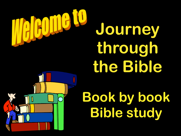

# **Journey through the Bible**

# **Book by book Bible study**

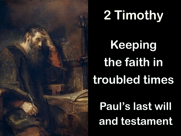

# **2 Timothy**

**Keeping the faith in troubled times**

**Paul's last will and testament**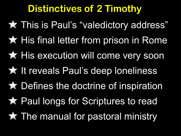## **Distinctives of 2 Timothy**

This is Paul's "valedictory address" **\* His final letter from prison in Rome \* His execution will come very soon**  It reveals Paul's deep loneliness Defines the doctrine of inspiration Paul longs for Scriptures to read The manual for pastoral ministry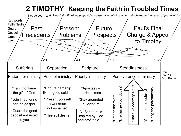#### **2 TIMOTHY Keeping the Faith in Troubled Times**

Key verses 4:2, 5, *Preach the Word; be prepared in season and out of season; …discharge all the duties of your ministry.*

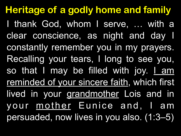**Heritage of a godly home and family** I thank God, whom I serve, … with a clear conscience, as night and day I constantly remember you in my prayers. Recalling your tears, I long to see you, so that I may be filled with joy. <u>I am</u> reminded of your sincere faith, which first lived in your grandmother Lois and in your mother Eunice and, I am persuaded, now lives in you also. (1:3–5)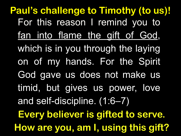For this reason I remind you to fan into flame the gift of God, which is in you through the laying on of my hands. For the Spirit God gave us does not make us timid, but gives us power, love and self-discipline. (1:6–7) **Paul's challenge to Timothy (to us)! Every believer is gifted to serve. How are you, am I, using this gift?**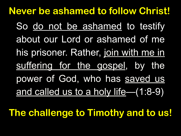So do not be ashamed to testify about our Lord or ashamed of me his prisoner. Rather, join with me in suffering for the gospel, by the power of God, who has saved us and called us to a holy life—(1:8-9) **Never be ashamed to follow Christ!**

**The challenge to Timothy and to us!**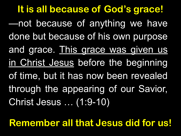—not because of anything we have done but because of his own purpose and grace. This grace was given us in Christ Jesus before the beginning of time, but it has now been revealed through the appearing of our Savior, Christ Jesus … (1:9-10) **It is all because of God's grace!**

**Remember all that Jesus did for us!**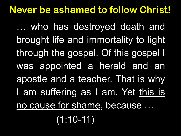### **Never be ashamed to follow Christ!**

… who has destroyed death and brought life and immortality to light through the gospel. Of this gospel I was appointed a herald and an apostle and a teacher. That is why I am suffering as I am. Yet this is no cause for shame, because …

 $(1:10-11)$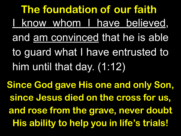I know whom I have believed, and am convinced that he is able to guard what I have entrusted to him until that day. (1:12) **The foundation of our faith**

**Since God gave His one and only Son, since Jesus died on the cross for us, and rose from the grave, never doubt His ability to help you in life's trials!**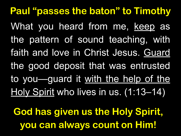What you heard from me, keep as the pattern of sound teaching, with faith and love in Christ Jesus. Guard the good deposit that was entrusted to you—guard it with the help of the Holy Spirit who lives in us. (1:13-14) **Paul "passes the baton" to Timothy God has given us the Holy Spirit, you can always count on Him!**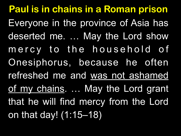**Paul is in chains in a Roman prison**  Everyone in the province of Asia has deserted me. … May the Lord show mercy to the household of Onesiphorus, because he often refreshed me and was not ashamed of my chains. ... May the Lord grant that he will find mercy from the Lord on that day! (1:15–18)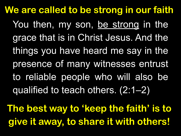You then, my son, be strong in the grace that is in Christ Jesus. And the things you have heard me say in the presence of many witnesses entrust to reliable people who will also be qualified to teach others. (2:1–2) **We are called to be strong in our faith**

**The best way to 'keep the faith' is to give it away, to share it with others!**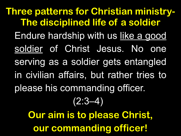Endure hardship with us like a good soldier of Christ Jesus. No one serving as a soldier gets entangled in civilian affairs, but rather tries to please his commanding officer. (2:3–4) **Three patterns for Christian ministry-The disciplined life of a soldier Our aim is to please Christ,** 

**our commanding officer!**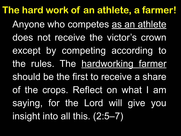Anyone who competes as an athlete does not receive the victor's crown except by competing according to the rules. The hardworking farmer should be the first to receive a share of the crops. Reflect on what I am saying, for the Lord will give you insight into all this. (2:5–7) **The hard work of an athlete, a farmer!**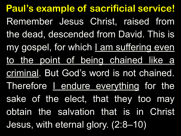Remember Jesus Christ, raised from the dead, descended from David. This is my gospel, for which I am suffering even to the point of being chained like a criminal. But God's word is not chained. Therefore I endure everything for the sake of the elect, that they too may obtain the salvation that is in Christ Jesus, with eternal glory. (2:8–10) **Paul's example of sacrificial service!**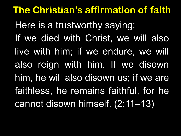Here is a trustworthy saying: If we died with Christ, we will also live with him; if we endure, we will also reign with him. If we disown him, he will also disown us; if we are faithless, he remains faithful, for he cannot disown himself. (2:11–13) **The Christian's affirmation of faith**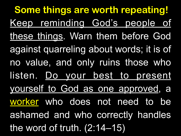**Some things are worth repeating!** Keep reminding God's people of these things. Warn them before God against quarreling about words; it is of no value, and only ruins those who listen. Do your best to present yourself to God as one approved, a worker who does not need to be ashamed and who correctly handles the word of truth. (2:14–15)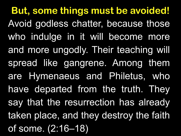**But, some things must be avoided!** Avoid godless chatter, because those who indulge in it will become more and more ungodly. Their teaching will spread like gangrene. Among them are Hymenaeus and Philetus, who have departed from the truth. They say that the resurrection has already taken place, and they destroy the faith of some. (2:16–18)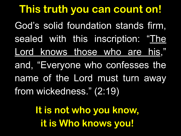**This truth you can count on!** God's solid foundation stands firm, sealed with this inscription: "The Lord knows those who are his," and, "Everyone who confesses the name of the Lord must turn away from wickedness." (2:19)

> **It is not who you know, it is Who knows you!**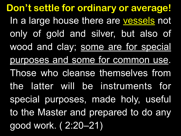In a large house there are vessels not only of gold and silver, but also of wood and clay; some are for special purposes and some for common use. Those who cleanse themselves from the latter will be instruments for special purposes, made holy, useful to the Master and prepared to do any good work. ( 2:20–21) **Don't settle for ordinary or average!**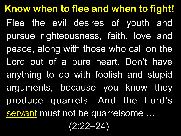**Know when to flee and when to fight!** Flee the evil desires of youth and pursue righteousness, faith, love and peace, along with those who call on the Lord out of a pure heart. Don't have anything to do with foolish and stupid arguments, because you know they produce quarrels. And the Lord's servant must not be quarrelsome ... (2:22–24)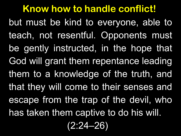**Know how to handle conflict!** but must be kind to everyone, able to teach, not resentful. Opponents must be gently instructed, in the hope that God will grant them repentance leading them to a knowledge of the truth, and that they will come to their senses and escape from the trap of the devil, who has taken them captive to do his will.

(2:24–26)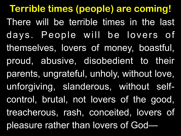There will be terrible times in the last days. People will be lovers of themselves, lovers of money, boastful, proud, abusive, disobedient to their parents, ungrateful, unholy, without love, unforgiving, slanderous, without selfcontrol, brutal, not lovers of the good, treacherous, rash, conceited, lovers of pleasure rather than lovers of God— **Terrible times (people) are coming!**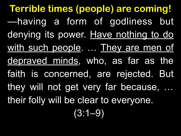—having a form of godliness but denying its power. Have nothing to do with such people. ... They are men of depraved minds, who, as far as the faith is concerned, are rejected. But they will not get very far because, … their folly will be clear to everyone.  $(3:1-9)$ **Terrible times (people) are coming!**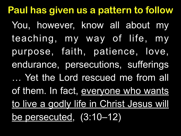**Paul has given us a pattern to follow** You, however, know all about my teaching, my way of life, my purpose, faith, patience, love, endurance, persecutions, sufferings … Yet the Lord rescued me from all of them. In fact, everyone who wants to live a godly life in Christ Jesus will be persecuted, (3:10–12)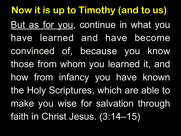But as for you, continue in what you have learned and have become convinced of, because you know those from whom you learned it, and how from infancy you have known the Holy Scriptures, which are able to make you wise for salvation through faith in Christ Jesus. (3:14–15) **Now it is up to Timothy (and to us)**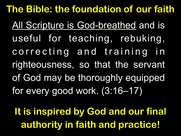All Scripture is God-breathed and is useful for teaching, rebuking, correcting and training in righteousness, so that the servant of God may be thoroughly equipped for every good work. (3:16–17) **The Bible: the foundation of our faith** 

**It is inspired by God and our final authority in faith and practice!**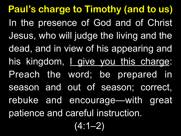**Paul's charge to Timothy (and to us)**  In the presence of God and of Christ Jesus, who will judge the living and the dead, and in view of his appearing and his kingdom, *L* give you this charge: Preach the word; be prepared in season and out of season; correct, rebuke and encourage—with great patience and careful instruction. (4:1–2)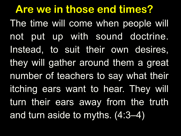The time will come when people will not put up with sound doctrine. Instead, to suit their own desires, they will gather around them a great number of teachers to say what their itching ears want to hear. They will turn their ears away from the truth and turn aside to myths. (4:3–4) **Are we in those end times?**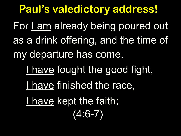For Lam already being poured out as a drink offering, and the time of my departure has come. I have fought the good fight, I have finished the race, I have kept the faith;  $(4:6 - 7)$ **Paul's valedictory address!**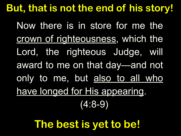## **But, that is not the end of his story!**

Now there is in store for me the crown of righteousness, which the Lord, the righteous Judge, will award to me on that day—and not only to me, but also to all who have longed for His appearing. (4:8-9)

**The best is yet to be!**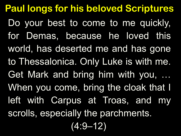Do your best to come to me quickly, for Demas, because he loved this world, has deserted me and has gone to Thessalonica. Only Luke is with me. Get Mark and bring him with you, … When you come, bring the cloak that I left with Carpus at Troas, and my scrolls, especially the parchments.  $(4:9 - 12)$ **Paul longs for his beloved Scriptures**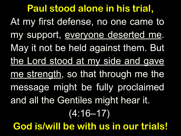At my first defense, no one came to my support, everyone deserted me. May it not be held against them. But the Lord stood at my side and gave me strength, so that through me the message might be fully proclaimed and all the Gentiles might hear it.  $(4:16-17)$ **Paul stood alone in his trial, God is/will be with us in our trials!**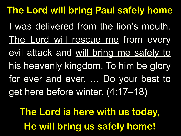I was delivered from the lion's mouth. The Lord will rescue me from every evil attack and will bring me safely to his heavenly kingdom. To him be glory for ever and ever. … Do your best to get here before winter. (4:17–18) **The Lord will bring Paul safely home**

**The Lord is here with us today, He will bring us safely home!**